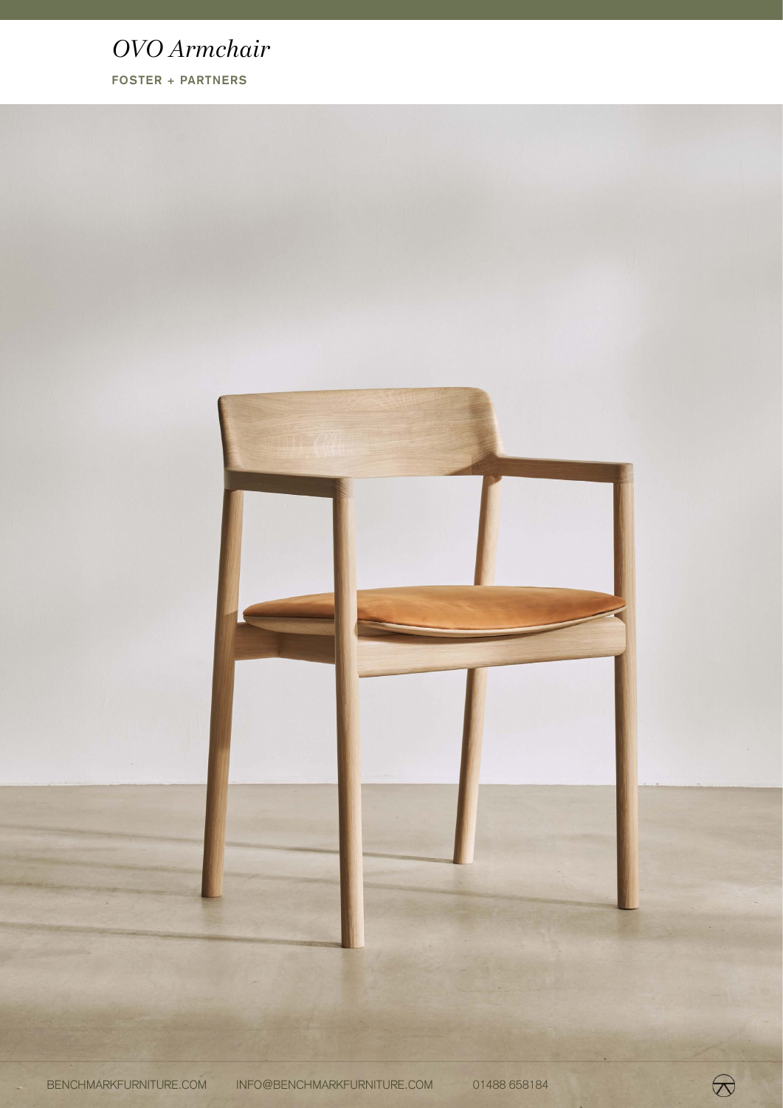# *OVO Armchair*

**FOSTER + PARTNERS**



 $\bigotimes$